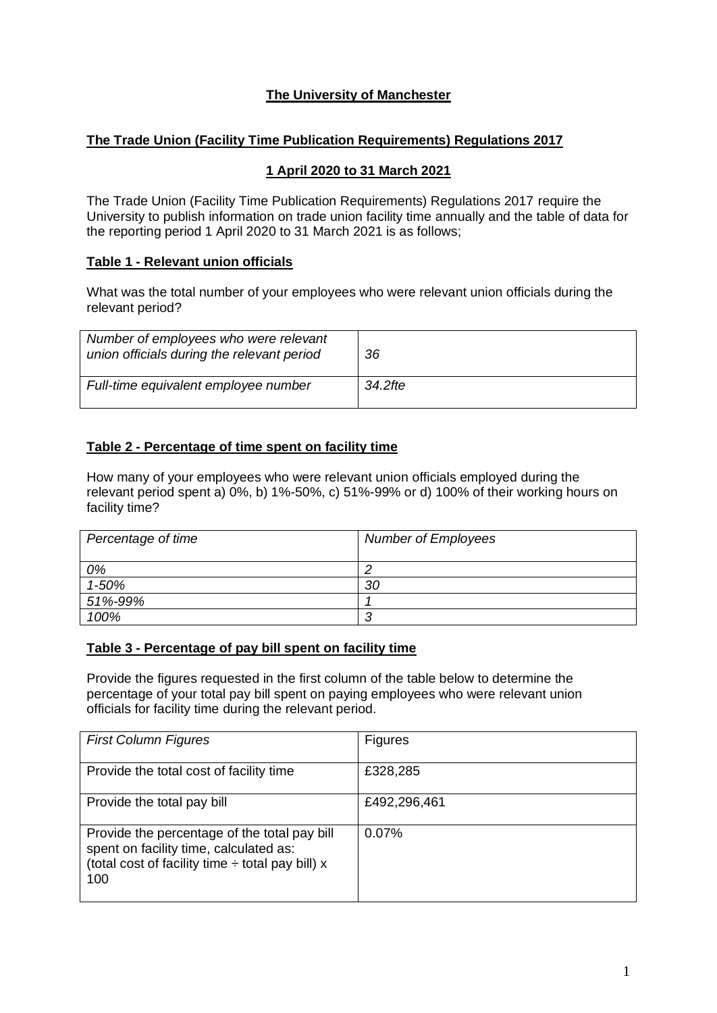## **The University of Manchester**

### **The Trade Union (Facility Time Publication Requirements) Regulations 2017**

#### **1 April 2020 to 31 March 2021**

The Trade Union (Facility Time Publication Requirements) Regulations 2017 require the University to publish information on trade union facility time annually and the table of data for the reporting period 1 April 2020 to 31 March 2021 is as follows;

### **Table 1 - Relevant union officials**

What was the total number of your employees who were relevant union officials during the relevant period?

| Number of employees who were relevant<br>union officials during the relevant period | 36      |
|-------------------------------------------------------------------------------------|---------|
| Full-time equivalent employee number                                                | 34.2fte |

## **Table 2 - Percentage of time spent on facility time**

How many of your employees who were relevant union officials employed during the relevant period spent a) 0%, b) 1%-50%, c) 51%-99% or d) 100% of their working hours on facility time?

| Percentage of time | <b>Number of Employees</b> |
|--------------------|----------------------------|
| 0%                 |                            |
| 1-50%              | 30                         |
| 51%-99%            |                            |
| 100%               | ╭<br>◡                     |

#### **Table 3 - Percentage of pay bill spent on facility time**

Provide the figures requested in the first column of the table below to determine the percentage of your total pay bill spent on paying employees who were relevant union officials for facility time during the relevant period.

| <b>First Column Figures</b>                                                                                                                            | <b>Figures</b> |
|--------------------------------------------------------------------------------------------------------------------------------------------------------|----------------|
| Provide the total cost of facility time                                                                                                                | £328,285       |
| Provide the total pay bill                                                                                                                             | £492,296,461   |
| Provide the percentage of the total pay bill<br>spent on facility time, calculated as:<br>(total cost of facility time $\div$ total pay bill) x<br>100 | 0.07%          |